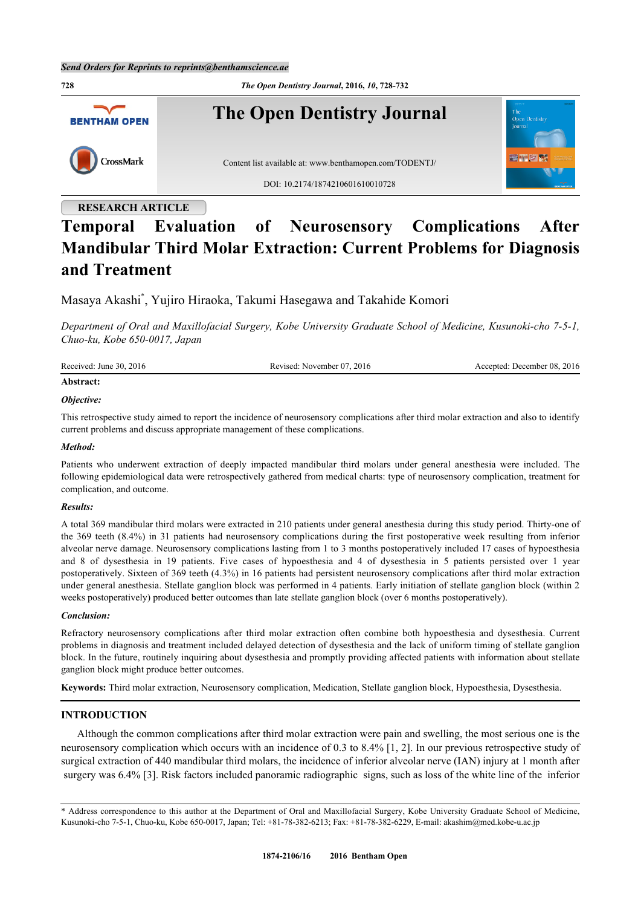

# **Temporal Evaluation of Neurosensory Complications After Mandibular Third Molar Extraction: Current Problems for Diagnosis and Treatment**

Masaya Akashi[\\*](#page-0-0) , Yujiro Hiraoka, Takumi Hasegawa and Takahide Komori

*Department of Oral and Maxillofacial Surgery, Kobe University Graduate School of Medicine, Kusunoki-cho 7-5-1, Chuo-ku, Kobe 650-0017, Japan*

| Received: June 30, 2016 | Revised: November 07, 2016 | Accepted: December 08, 2016 |
|-------------------------|----------------------------|-----------------------------|
| Abstract:               |                            |                             |

# *Objective:*

This retrospective study aimed to report the incidence of neurosensory complications after third molar extraction and also to identify current problems and discuss appropriate management of these complications.

#### *Method:*

Patients who underwent extraction of deeply impacted mandibular third molars under general anesthesia were included. The following epidemiological data were retrospectively gathered from medical charts: type of neurosensory complication, treatment for complication, and outcome.

#### *Results:*

A total 369 mandibular third molars were extracted in 210 patients under general anesthesia during this study period. Thirty-one of the 369 teeth (8.4%) in 31 patients had neurosensory complications during the first postoperative week resulting from inferior alveolar nerve damage. Neurosensory complications lasting from 1 to 3 months postoperatively included 17 cases of hypoesthesia and 8 of dysesthesia in 19 patients. Five cases of hypoesthesia and 4 of dysesthesia in 5 patients persisted over 1 year postoperatively. Sixteen of 369 teeth (4.3%) in 16 patients had persistent neurosensory complications after third molar extraction under general anesthesia. Stellate ganglion block was performed in 4 patients. Early initiation of stellate ganglion block (within 2 weeks postoperatively) produced better outcomes than late stellate ganglion block (over 6 months postoperatively).

#### *Conclusion:*

Refractory neurosensory complications after third molar extraction often combine both hypoesthesia and dysesthesia. Current problems in diagnosis and treatment included delayed detection of dysesthesia and the lack of uniform timing of stellate ganglion block. In the future, routinely inquiring about dysesthesia and promptly providing affected patients with information about stellate ganglion block might produce better outcomes.

**Keywords:** Third molar extraction, Neurosensory complication, Medication, Stellate ganglion block, Hypoesthesia, Dysesthesia.

## **INTRODUCTION**

Although the common complications after third molar extraction were pain and swelling, the most serious one is the neurosensory complication which occurs with an incidence of 0.3 to 8.4% [[1,](#page-4-0) [2\]](#page-4-1). In our previous retrospective study of surgical extraction of 440 mandibular third molars, the incidence of inferior alveolar nerve (IAN) injury at 1 month after surgery was 6.4% [\[3](#page-4-2)]. Risk factors included panoramic radiographic signs, such as loss of the white line of the inferior

<span id="page-0-0"></span>\* Address correspondence to this author at the Department of Oral and Maxillofacial Surgery, Kobe University Graduate School of Medicine, Kusunoki-cho 7-5-1, Chuo-ku, Kobe 650-0017, Japan; Tel: +81-78-382-6213; Fax: +81-78-382-6229, E-mail: [akashim@med.kobe-u.ac.jp](mailto:akashim@med.kobe-u.ac.jp)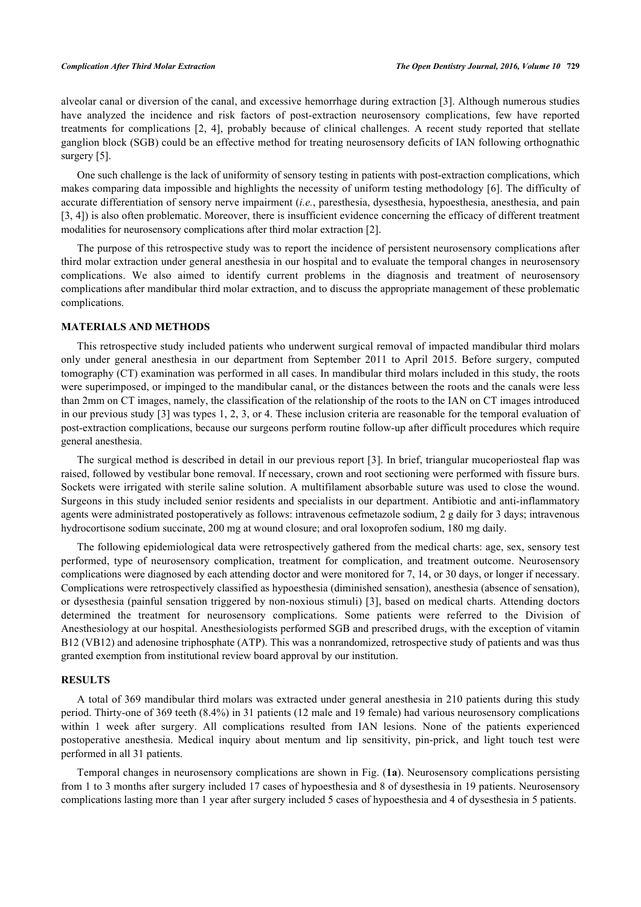alveolar canal or diversion of the canal, and excessive hemorrhage during extraction [[3\]](#page-4-2). Although numerous studies have analyzed the incidence and risk factors of post-extraction neurosensory complications, few have reported treatments for complications [\[2,](#page-4-1) [4](#page-4-3)], probably because of clinical challenges. A recent study reported that stellate ganglion block (SGB) could be an effective method for treating neurosensory deficits of IAN following orthognathic surgery [[5\]](#page-4-4).

One such challenge is the lack of uniformity of sensory testing in patients with post-extraction complications, which makes comparing data impossible and highlights the necessity of uniform testing methodology [[6](#page-4-5)]. The difficulty of accurate differentiation of sensory nerve impairment (*i.e.*, paresthesia, dysesthesia, hypoesthesia, anesthesia, and pain [\[3](#page-4-2), [4](#page-4-3)]) is also often problematic. Moreover, there is insufficient evidence concerning the efficacy of different treatment modalities for neurosensory complications after third molar extraction [\[2](#page-4-1)].

The purpose of this retrospective study was to report the incidence of persistent neurosensory complications after third molar extraction under general anesthesia in our hospital and to evaluate the temporal changes in neurosensory complications. We also aimed to identify current problems in the diagnosis and treatment of neurosensory complications after mandibular third molar extraction, and to discuss the appropriate management of these problematic complications.

#### **MATERIALS AND METHODS**

This retrospective study included patients who underwent surgical removal of impacted mandibular third molars only under general anesthesia in our department from September 2011 to April 2015. Before surgery, computed tomography (CT) examination was performed in all cases. In mandibular third molars included in this study, the roots were superimposed, or impinged to the mandibular canal, or the distances between the roots and the canals were less than 2mm on CT images, namely, the classification of the relationship of the roots to the IAN on CT images introduced in our previous study [[3\]](#page-4-2) was types 1, 2, 3, or 4. These inclusion criteria are reasonable for the temporal evaluation of post-extraction complications, because our surgeons perform routine follow-up after difficult procedures which require general anesthesia.

The surgical method is described in detail in our previous report [[3](#page-4-2)]. In brief, triangular mucoperiosteal flap was raised, followed by vestibular bone removal. If necessary, crown and root sectioning were performed with fissure burs. Sockets were irrigated with sterile saline solution. A multifilament absorbable suture was used to close the wound. Surgeons in this study included senior residents and specialists in our department. Antibiotic and anti-inflammatory agents were administrated postoperatively as follows: intravenous cefmetazole sodium, 2 g daily for 3 days; intravenous hydrocortisone sodium succinate, 200 mg at wound closure; and oral loxoprofen sodium, 180 mg daily.

The following epidemiological data were retrospectively gathered from the medical charts: age, sex, sensory test performed, type of neurosensory complication, treatment for complication, and treatment outcome. Neurosensory complications were diagnosed by each attending doctor and were monitored for 7, 14, or 30 days, or longer if necessary. Complications were retrospectively classified as hypoesthesia (diminished sensation), anesthesia (absence of sensation), or dysesthesia (painful sensation triggered by non-noxious stimuli) [\[3](#page-4-2)], based on medical charts. Attending doctors determined the treatment for neurosensory complications. Some patients were referred to the Division of Anesthesiology at our hospital. Anesthesiologists performed SGB and prescribed drugs, with the exception of vitamin B12 (VB12) and adenosine triphosphate (ATP). This was a nonrandomized, retrospective study of patients and was thus granted exemption from institutional review board approval by our institution.

#### **RESULTS**

A total of 369 mandibular third molars was extracted under general anesthesia in 210 patients during this study period. Thirty-one of 369 teeth (8.4%) in 31 patients (12 male and 19 female) had various neurosensory complications within 1 week after surgery. All complications resulted from IAN lesions. None of the patients experienced postoperative anesthesia. Medical inquiry about mentum and lip sensitivity, pin-prick, and light touch test were performed in all 31 patients.

Temporal changes in neurosensory complications are shown in Fig. (**[1a](#page--1-0)**). Neurosensory complications persisting from 1 to 3 months after surgery included 17 cases of hypoesthesia and 8 of dysesthesia in 19 patients. Neurosensory complications lasting more than 1 year after surgery included 5 cases of hypoesthesia and 4 of dysesthesia in 5 patients.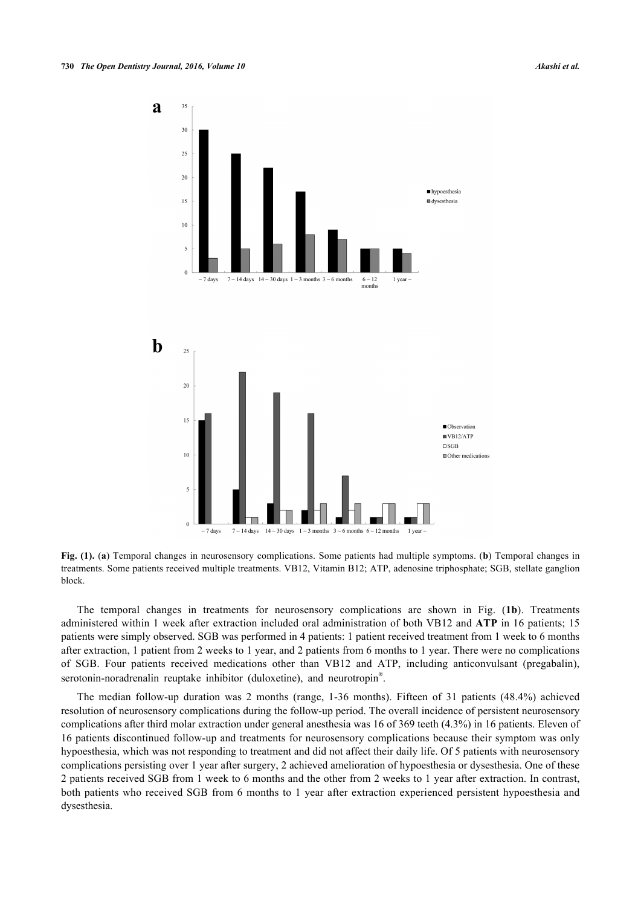

**Fig. (1).** (**a**) Temporal changes in neurosensory complications. Some patients had multiple symptoms. (**b**) Temporal changes in treatments. Some patients received multiple treatments. VB12, Vitamin B12; ATP, adenosine triphosphate; SGB, stellate ganglion block.

The temporal changes in treatments for neurosensory complications are shown in Fig. (**[1b](#page--1-0)**). Treatments administered within 1 week after extraction included oral administration of both VB12 and **ATP** in 16 patients; 15 patients were simply observed. SGB was performed in 4 patients: 1 patient received treatment from 1 week to 6 months after extraction, 1 patient from 2 weeks to 1 year, and 2 patients from 6 months to 1 year. There were no complications of SGB. Four patients received medications other than VB12 and ATP, including anticonvulsant (pregabalin), serotonin-noradrenalin reuptake inhibitor (duloxetine), and neurotropin<sup>®</sup>.

The median follow-up duration was 2 months (range, 1-36 months). Fifteen of 31 patients (48.4%) achieved resolution of neurosensory complications during the follow-up period. The overall incidence of persistent neurosensory complications after third molar extraction under general anesthesia was 16 of 369 teeth (4.3%) in 16 patients. Eleven of 16 patients discontinued follow-up and treatments for neurosensory complications because their symptom was only hypoesthesia, which was not responding to treatment and did not affect their daily life. Of 5 patients with neurosensory complications persisting over 1 year after surgery, 2 achieved amelioration of hypoesthesia or dysesthesia. One of these 2 patients received SGB from 1 week to 6 months and the other from 2 weeks to 1 year after extraction. In contrast, both patients who received SGB from 6 months to 1 year after extraction experienced persistent hypoesthesia and dysesthesia.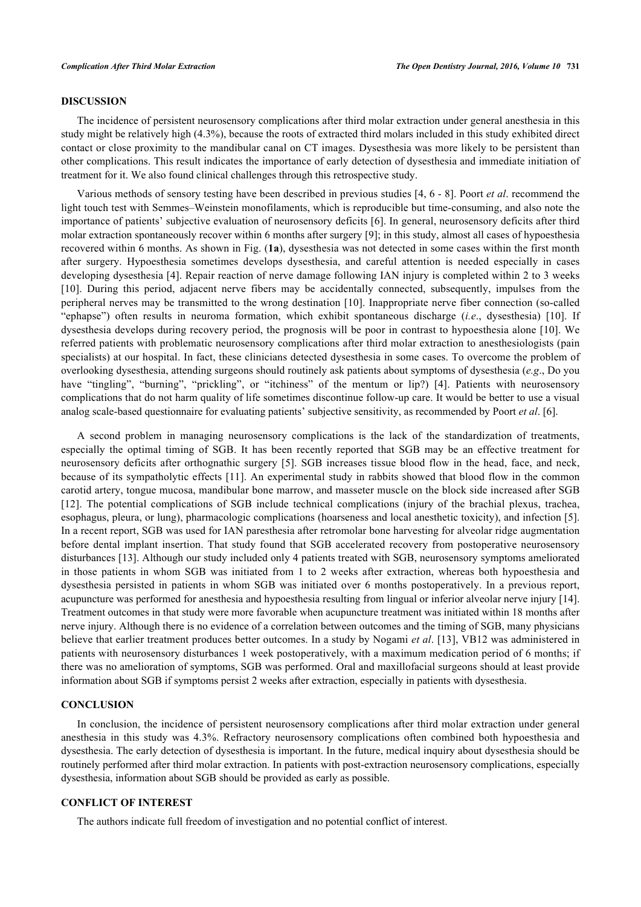#### **DISCUSSION**

The incidence of persistent neurosensory complications after third molar extraction under general anesthesia in this study might be relatively high (4.3%), because the roots of extracted third molars included in this study exhibited direct contact or close proximity to the mandibular canal on CT images. Dysesthesia was more likely to be persistent than other complications. This result indicates the importance of early detection of dysesthesia and immediate initiation of treatment for it. We also found clinical challenges through this retrospective study.

Various methods of sensory testing have been described in previous studies [[4,](#page-4-3) [6](#page-4-5) - [8](#page-4-6)]. Poort *et al*. recommend the light touch test with Semmes–Weinstein monofilaments, which is reproducible but time-consuming, and also note the importance of patients' subjective evaluation of neurosensory deficits [[6\]](#page-4-5). In general, neurosensory deficits after third molar extraction spontaneously recover within 6 months after surgery [\[9](#page-4-7)]; in this study, almost all cases of hypoesthesia recovered within 6 months. As shown in Fig. (**[1a](#page--1-0)**), dysesthesia was not detected in some cases within the first month after surgery. Hypoesthesia sometimes develops dysesthesia, and careful attention is needed especially in cases developing dysesthesia [\[4](#page-4-3)]. Repair reaction of nerve damage following IAN injury is completed within 2 to 3 weeks [\[10](#page-4-8)]. During this period, adjacent nerve fibers may be accidentally connected, subsequently, impulses from the peripheral nerves may be transmitted to the wrong destination [\[10](#page-4-8)]. Inappropriate nerve fiber connection (so-called "ephapse") often results in neuroma formation, which exhibit spontaneous discharge (*i.e*., dysesthesia)[[10\]](#page-4-8). If dysesthesia develops during recovery period, the prognosis will be poor in contrast to hypoesthesia alone [[10](#page-4-8)]. We referred patients with problematic neurosensory complications after third molar extraction to anesthesiologists (pain specialists) at our hospital. In fact, these clinicians detected dysesthesia in some cases. To overcome the problem of overlooking dysesthesia, attending surgeons should routinely ask patients about symptoms of dysesthesia (*e.g*., Do you have"tingling", "burning", "prickling", or "itchiness" of the mentum or lip?) [[4](#page-4-3)]. Patients with neurosensory complications that do not harm quality of life sometimes discontinue follow-up care. It would be better to use a visual analog scale-based questionnaire for evaluating patients' subjective sensitivity, as recommended by Poort *et al*. [[6\]](#page-4-5).

A second problem in managing neurosensory complications is the lack of the standardization of treatments, especially the optimal timing of SGB. It has been recently reported that SGB may be an effective treatment for neurosensory deficits after orthognathic surgery [[5](#page-4-4)]. SGB increases tissue blood flow in the head, face, and neck, because of its sympatholytic effects [[11](#page-4-9)]. An experimental study in rabbits showed that blood flow in the common carotid artery, tongue mucosa, mandibular bone marrow, and masseter muscle on the block side increased after SGB [\[12](#page-4-10)]. The potential complications of SGB include technical complications (injury of the brachial plexus, trachea, esophagus, pleura, or lung), pharmacologic complications (hoarseness and local anesthetic toxicity), and infection [[5\]](#page-4-4). In a recent report, SGB was used for IAN paresthesia after retromolar bone harvesting for alveolar ridge augmentation before dental implant insertion. That study found that SGB accelerated recovery from postoperative neurosensory disturbances [\[13](#page-4-11)]. Although our study included only 4 patients treated with SGB, neurosensory symptoms ameliorated in those patients in whom SGB was initiated from 1 to 2 weeks after extraction, whereas both hypoesthesia and dysesthesia persisted in patients in whom SGB was initiated over 6 months postoperatively. In a previous report, acupuncture was performed for anesthesia and hypoesthesia resulting from lingual or inferior alveolar nerve injury [[14\]](#page-4-12). Treatment outcomes in that study were more favorable when acupuncture treatment was initiated within 18 months after nerve injury. Although there is no evidence of a correlation between outcomes and the timing of SGB, many physicians believe that earlier treatment produces better outcomes. In a study by Nogami *et al*. [[13\]](#page-4-11), VB12 was administered in patients with neurosensory disturbances 1 week postoperatively, with a maximum medication period of 6 months; if there was no amelioration of symptoms, SGB was performed. Oral and maxillofacial surgeons should at least provide information about SGB if symptoms persist 2 weeks after extraction, especially in patients with dysesthesia.

# **CONCLUSION**

In conclusion, the incidence of persistent neurosensory complications after third molar extraction under general anesthesia in this study was 4.3%. Refractory neurosensory complications often combined both hypoesthesia and dysesthesia. The early detection of dysesthesia is important. In the future, medical inquiry about dysesthesia should be routinely performed after third molar extraction. In patients with post-extraction neurosensory complications, especially dysesthesia, information about SGB should be provided as early as possible.

#### **CONFLICT OF INTEREST**

The authors indicate full freedom of investigation and no potential conflict of interest.